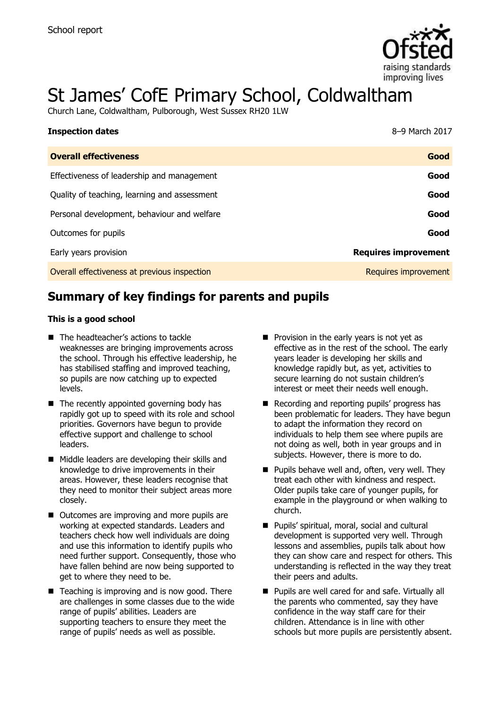

# St James' CofE Primary School, Coldwaltham

Church Lane, Coldwaltham, Pulborough, West Sussex RH20 1LW

| <b>Inspection dates</b>                      | 8-9 March 2017              |
|----------------------------------------------|-----------------------------|
| <b>Overall effectiveness</b>                 | Good                        |
| Effectiveness of leadership and management   | Good                        |
| Quality of teaching, learning and assessment | Good                        |
| Personal development, behaviour and welfare  | Good                        |
| Outcomes for pupils                          | Good                        |
| Early years provision                        | <b>Requires improvement</b> |
| Overall effectiveness at previous inspection | Requires improvement        |

# **Summary of key findings for parents and pupils**

#### **This is a good school**

- The headteacher's actions to tackle weaknesses are bringing improvements across the school. Through his effective leadership, he has stabilised staffing and improved teaching, so pupils are now catching up to expected levels.
- $\blacksquare$  The recently appointed governing body has rapidly got up to speed with its role and school priorities. Governors have begun to provide effective support and challenge to school leaders.
- **Middle leaders are developing their skills and** knowledge to drive improvements in their areas. However, these leaders recognise that they need to monitor their subject areas more closely.
- Outcomes are improving and more pupils are working at expected standards. Leaders and teachers check how well individuals are doing and use this information to identify pupils who need further support. Consequently, those who have fallen behind are now being supported to get to where they need to be.
- $\blacksquare$  Teaching is improving and is now good. There are challenges in some classes due to the wide range of pupils' abilities. Leaders are supporting teachers to ensure they meet the range of pupils' needs as well as possible.
- $\blacksquare$  Provision in the early years is not yet as effective as in the rest of the school. The early years leader is developing her skills and knowledge rapidly but, as yet, activities to secure learning do not sustain children's interest or meet their needs well enough.
- Recording and reporting pupils' progress has been problematic for leaders. They have begun to adapt the information they record on individuals to help them see where pupils are not doing as well, both in year groups and in subjects. However, there is more to do.
- $\blacksquare$  Pupils behave well and, often, very well. They treat each other with kindness and respect. Older pupils take care of younger pupils, for example in the playground or when walking to church.
- **Pupils' spiritual, moral, social and cultural** development is supported very well. Through lessons and assemblies, pupils talk about how they can show care and respect for others. This understanding is reflected in the way they treat their peers and adults.
- **Pupils are well cared for and safe. Virtually all** the parents who commented, say they have confidence in the way staff care for their children. Attendance is in line with other schools but more pupils are persistently absent.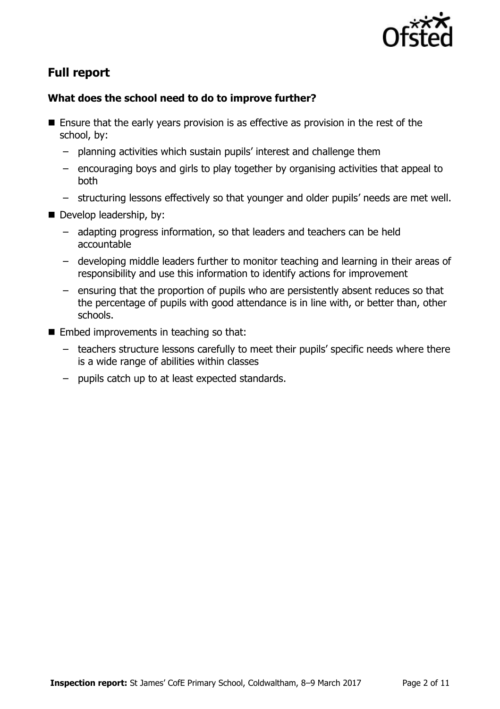

# **Full report**

### **What does the school need to do to improve further?**

- Ensure that the early years provision is as effective as provision in the rest of the school, by:
	- planning activities which sustain pupils' interest and challenge them
	- encouraging boys and girls to play together by organising activities that appeal to both
	- structuring lessons effectively so that younger and older pupils' needs are met well.
- Develop leadership, by:
	- adapting progress information, so that leaders and teachers can be held accountable
	- developing middle leaders further to monitor teaching and learning in their areas of responsibility and use this information to identify actions for improvement
	- ensuring that the proportion of pupils who are persistently absent reduces so that the percentage of pupils with good attendance is in line with, or better than, other schools.
- $\blacksquare$  Embed improvements in teaching so that:
	- teachers structure lessons carefully to meet their pupils' specific needs where there is a wide range of abilities within classes
	- pupils catch up to at least expected standards.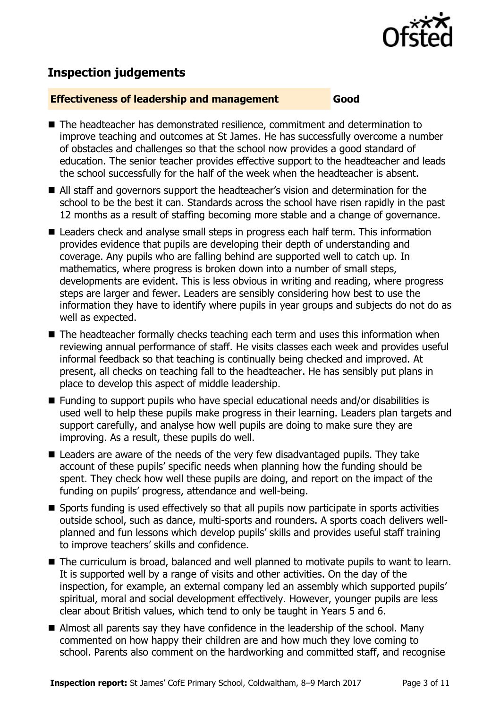

# **Inspection judgements**

#### **Effectiveness of leadership and management Good**

- The headteacher has demonstrated resilience, commitment and determination to improve teaching and outcomes at St James. He has successfully overcome a number of obstacles and challenges so that the school now provides a good standard of education. The senior teacher provides effective support to the headteacher and leads the school successfully for the half of the week when the headteacher is absent.
- All staff and governors support the headteacher's vision and determination for the school to be the best it can. Standards across the school have risen rapidly in the past 12 months as a result of staffing becoming more stable and a change of governance.
- Leaders check and analyse small steps in progress each half term. This information provides evidence that pupils are developing their depth of understanding and coverage. Any pupils who are falling behind are supported well to catch up. In mathematics, where progress is broken down into a number of small steps, developments are evident. This is less obvious in writing and reading, where progress steps are larger and fewer. Leaders are sensibly considering how best to use the information they have to identify where pupils in year groups and subjects do not do as well as expected.
- The headteacher formally checks teaching each term and uses this information when reviewing annual performance of staff. He visits classes each week and provides useful informal feedback so that teaching is continually being checked and improved. At present, all checks on teaching fall to the headteacher. He has sensibly put plans in place to develop this aspect of middle leadership.
- Funding to support pupils who have special educational needs and/or disabilities is used well to help these pupils make progress in their learning. Leaders plan targets and support carefully, and analyse how well pupils are doing to make sure they are improving. As a result, these pupils do well.
- Leaders are aware of the needs of the very few disadvantaged pupils. They take account of these pupils' specific needs when planning how the funding should be spent. They check how well these pupils are doing, and report on the impact of the funding on pupils' progress, attendance and well-being.
- Sports funding is used effectively so that all pupils now participate in sports activities outside school, such as dance, multi-sports and rounders. A sports coach delivers wellplanned and fun lessons which develop pupils' skills and provides useful staff training to improve teachers' skills and confidence.
- The curriculum is broad, balanced and well planned to motivate pupils to want to learn. It is supported well by a range of visits and other activities. On the day of the inspection, for example, an external company led an assembly which supported pupils' spiritual, moral and social development effectively. However, younger pupils are less clear about British values, which tend to only be taught in Years 5 and 6.
- Almost all parents say they have confidence in the leadership of the school. Many commented on how happy their children are and how much they love coming to school. Parents also comment on the hardworking and committed staff, and recognise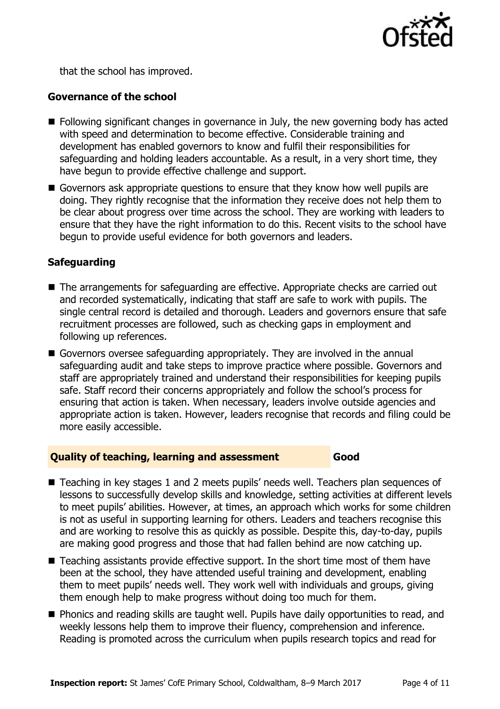

that the school has improved.

#### **Governance of the school**

- **Following significant changes in governance in July, the new governing body has acted** with speed and determination to become effective. Considerable training and development has enabled governors to know and fulfil their responsibilities for safeguarding and holding leaders accountable. As a result, in a very short time, they have begun to provide effective challenge and support.
- Governors ask appropriate questions to ensure that they know how well pupils are doing. They rightly recognise that the information they receive does not help them to be clear about progress over time across the school. They are working with leaders to ensure that they have the right information to do this. Recent visits to the school have begun to provide useful evidence for both governors and leaders.

#### **Safeguarding**

- The arrangements for safeguarding are effective. Appropriate checks are carried out and recorded systematically, indicating that staff are safe to work with pupils. The single central record is detailed and thorough. Leaders and governors ensure that safe recruitment processes are followed, such as checking gaps in employment and following up references.
- Governors oversee safeguarding appropriately. They are involved in the annual safeguarding audit and take steps to improve practice where possible. Governors and staff are appropriately trained and understand their responsibilities for keeping pupils safe. Staff record their concerns appropriately and follow the school's process for ensuring that action is taken. When necessary, leaders involve outside agencies and appropriate action is taken. However, leaders recognise that records and filing could be more easily accessible.

#### **Quality of teaching, learning and assessment Good**

- Teaching in key stages 1 and 2 meets pupils' needs well. Teachers plan sequences of lessons to successfully develop skills and knowledge, setting activities at different levels to meet pupils' abilities. However, at times, an approach which works for some children is not as useful in supporting learning for others. Leaders and teachers recognise this and are working to resolve this as quickly as possible. Despite this, day-to-day, pupils are making good progress and those that had fallen behind are now catching up.
- Teaching assistants provide effective support. In the short time most of them have been at the school, they have attended useful training and development, enabling them to meet pupils' needs well. They work well with individuals and groups, giving them enough help to make progress without doing too much for them.
- **Phonics and reading skills are taught well. Pupils have daily opportunities to read, and** weekly lessons help them to improve their fluency, comprehension and inference. Reading is promoted across the curriculum when pupils research topics and read for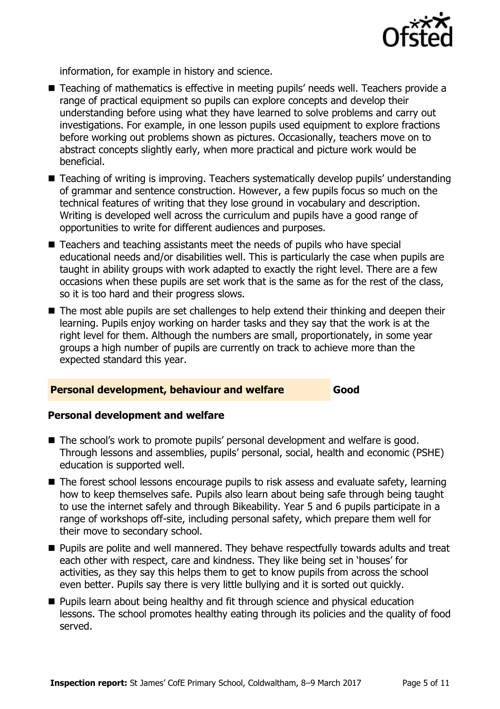

information, for example in history and science.

- Teaching of mathematics is effective in meeting pupils' needs well. Teachers provide a range of practical equipment so pupils can explore concepts and develop their understanding before using what they have learned to solve problems and carry out investigations. For example, in one lesson pupils used equipment to explore fractions before working out problems shown as pictures. Occasionally, teachers move on to abstract concepts slightly early, when more practical and picture work would be beneficial.
- Teaching of writing is improving. Teachers systematically develop pupils' understanding of grammar and sentence construction. However, a few pupils focus so much on the technical features of writing that they lose ground in vocabulary and description. Writing is developed well across the curriculum and pupils have a good range of opportunities to write for different audiences and purposes.
- Teachers and teaching assistants meet the needs of pupils who have special educational needs and/or disabilities well. This is particularly the case when pupils are taught in ability groups with work adapted to exactly the right level. There are a few occasions when these pupils are set work that is the same as for the rest of the class, so it is too hard and their progress slows.
- The most able pupils are set challenges to help extend their thinking and deepen their learning. Pupils enjoy working on harder tasks and they say that the work is at the right level for them. Although the numbers are small, proportionately, in some year groups a high number of pupils are currently on track to achieve more than the expected standard this year.

#### **Personal development, behaviour and welfare Good**

#### **Personal development and welfare**

- The school's work to promote pupils' personal development and welfare is good. Through lessons and assemblies, pupils' personal, social, health and economic (PSHE) education is supported well.
- The forest school lessons encourage pupils to risk assess and evaluate safety, learning how to keep themselves safe. Pupils also learn about being safe through being taught to use the internet safely and through Bikeability. Year 5 and 6 pupils participate in a range of workshops off-site, including personal safety, which prepare them well for their move to secondary school.
- **Pupils are polite and well mannered. They behave respectfully towards adults and treat** each other with respect, care and kindness. They like being set in 'houses' for activities, as they say this helps them to get to know pupils from across the school even better. Pupils say there is very little bullying and it is sorted out quickly.
- **Pupils learn about being healthy and fit through science and physical education** lessons. The school promotes healthy eating through its policies and the quality of food served.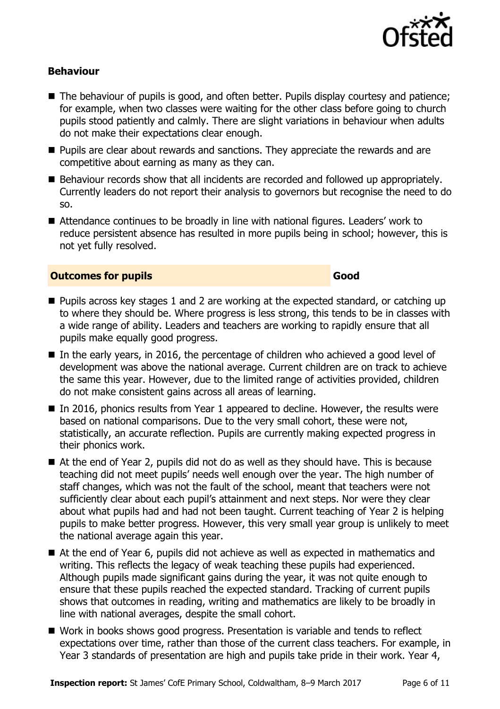

#### **Behaviour**

- The behaviour of pupils is good, and often better. Pupils display courtesy and patience; for example, when two classes were waiting for the other class before going to church pupils stood patiently and calmly. There are slight variations in behaviour when adults do not make their expectations clear enough.
- **Pupils are clear about rewards and sanctions. They appreciate the rewards and are** competitive about earning as many as they can.
- Behaviour records show that all incidents are recorded and followed up appropriately. Currently leaders do not report their analysis to governors but recognise the need to do so.
- Attendance continues to be broadly in line with national figures. Leaders' work to reduce persistent absence has resulted in more pupils being in school; however, this is not yet fully resolved.

#### **Outcomes for pupils Good**

- **Pupils across key stages 1 and 2 are working at the expected standard, or catching up** to where they should be. Where progress is less strong, this tends to be in classes with a wide range of ability. Leaders and teachers are working to rapidly ensure that all pupils make equally good progress.
- In the early years, in 2016, the percentage of children who achieved a good level of development was above the national average. Current children are on track to achieve the same this year. However, due to the limited range of activities provided, children do not make consistent gains across all areas of learning.
- In 2016, phonics results from Year 1 appeared to decline. However, the results were based on national comparisons. Due to the very small cohort, these were not, statistically, an accurate reflection. Pupils are currently making expected progress in their phonics work.
- At the end of Year 2, pupils did not do as well as they should have. This is because teaching did not meet pupils' needs well enough over the year. The high number of staff changes, which was not the fault of the school, meant that teachers were not sufficiently clear about each pupil's attainment and next steps. Nor were they clear about what pupils had and had not been taught. Current teaching of Year 2 is helping pupils to make better progress. However, this very small year group is unlikely to meet the national average again this year.
- At the end of Year 6, pupils did not achieve as well as expected in mathematics and writing. This reflects the legacy of weak teaching these pupils had experienced. Although pupils made significant gains during the year, it was not quite enough to ensure that these pupils reached the expected standard. Tracking of current pupils shows that outcomes in reading, writing and mathematics are likely to be broadly in line with national averages, despite the small cohort.
- Work in books shows good progress. Presentation is variable and tends to reflect expectations over time, rather than those of the current class teachers. For example, in Year 3 standards of presentation are high and pupils take pride in their work. Year 4,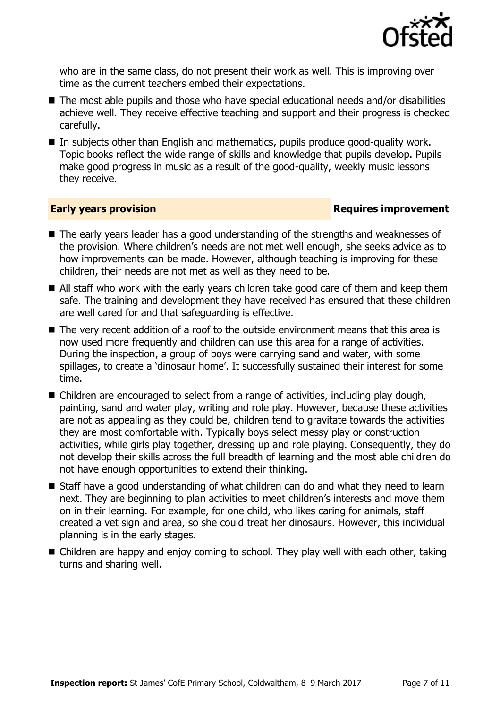

who are in the same class, do not present their work as well. This is improving over time as the current teachers embed their expectations.

- The most able pupils and those who have special educational needs and/or disabilities achieve well. They receive effective teaching and support and their progress is checked carefully.
- In subjects other than English and mathematics, pupils produce good-quality work. Topic books reflect the wide range of skills and knowledge that pupils develop. Pupils make good progress in music as a result of the good-quality, weekly music lessons they receive.

#### **Early years provision**

- The early years leader has a good understanding of the strengths and weaknesses of the provision. Where children's needs are not met well enough, she seeks advice as to how improvements can be made. However, although teaching is improving for these children, their needs are not met as well as they need to be.
- All staff who work with the early years children take good care of them and keep them safe. The training and development they have received has ensured that these children are well cared for and that safeguarding is effective.
- The very recent addition of a roof to the outside environment means that this area is now used more frequently and children can use this area for a range of activities. During the inspection, a group of boys were carrying sand and water, with some spillages, to create a 'dinosaur home'. It successfully sustained their interest for some time.
- Children are encouraged to select from a range of activities, including play dough, painting, sand and water play, writing and role play. However, because these activities are not as appealing as they could be, children tend to gravitate towards the activities they are most comfortable with. Typically boys select messy play or construction activities, while girls play together, dressing up and role playing. Consequently, they do not develop their skills across the full breadth of learning and the most able children do not have enough opportunities to extend their thinking.
- Staff have a good understanding of what children can do and what they need to learn next. They are beginning to plan activities to meet children's interests and move them on in their learning. For example, for one child, who likes caring for animals, staff created a vet sign and area, so she could treat her dinosaurs. However, this individual planning is in the early stages.
- Children are happy and enjoy coming to school. They play well with each other, taking turns and sharing well.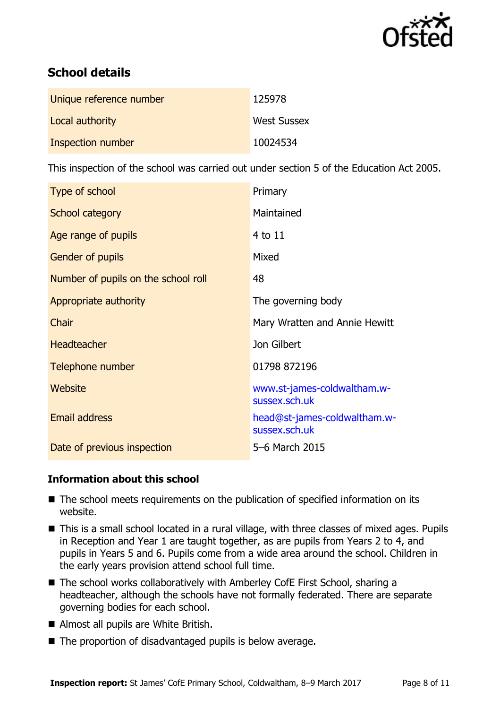

# **School details**

| Unique reference number | 125978             |
|-------------------------|--------------------|
| Local authority         | <b>West Sussex</b> |
| Inspection number       | 10024534           |

This inspection of the school was carried out under section 5 of the Education Act 2005.

| Type of school                      | Primary                                       |
|-------------------------------------|-----------------------------------------------|
| School category                     | Maintained                                    |
| Age range of pupils                 | 4 to 11                                       |
| <b>Gender of pupils</b>             | Mixed                                         |
| Number of pupils on the school roll | 48                                            |
| Appropriate authority               | The governing body                            |
| Chair                               | Mary Wratten and Annie Hewitt                 |
| <b>Headteacher</b>                  | Jon Gilbert                                   |
| Telephone number                    | 01798 872196                                  |
| Website                             | www.st-james-coldwaltham.w-<br>sussex.sch.uk  |
| <b>Email address</b>                | head@st-james-coldwaltham.w-<br>sussex.sch.uk |
| Date of previous inspection         | 5-6 March 2015                                |

### **Information about this school**

- The school meets requirements on the publication of specified information on its website.
- This is a small school located in a rural village, with three classes of mixed ages. Pupils in Reception and Year 1 are taught together, as are pupils from Years 2 to 4, and pupils in Years 5 and 6. Pupils come from a wide area around the school. Children in the early years provision attend school full time.
- The school works collaboratively with Amberley CofE First School, sharing a headteacher, although the schools have not formally federated. There are separate governing bodies for each school.
- Almost all pupils are White British.
- $\blacksquare$  The proportion of disadvantaged pupils is below average.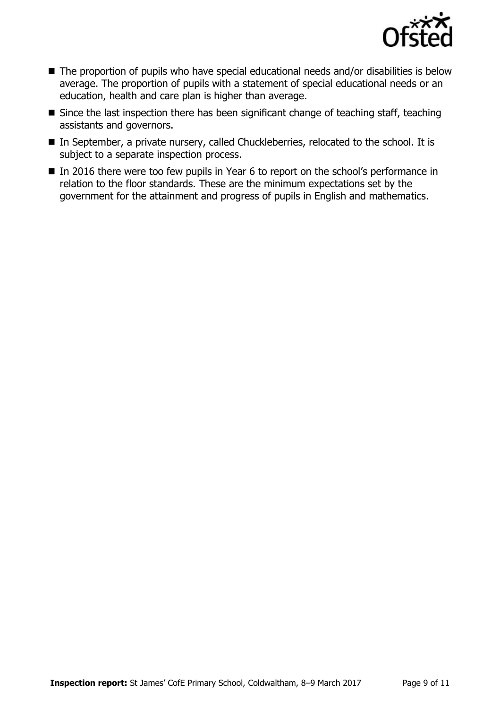

- The proportion of pupils who have special educational needs and/or disabilities is below average. The proportion of pupils with a statement of special educational needs or an education, health and care plan is higher than average.
- $\blacksquare$  Since the last inspection there has been significant change of teaching staff, teaching assistants and governors.
- In September, a private nursery, called Chuckleberries, relocated to the school. It is subject to a separate inspection process.
- In 2016 there were too few pupils in Year 6 to report on the school's performance in relation to the floor standards. These are the minimum expectations set by the government for the attainment and progress of pupils in English and mathematics.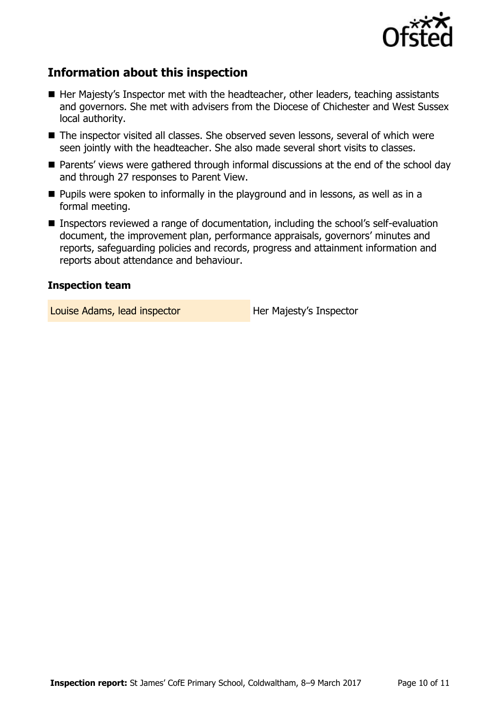

# **Information about this inspection**

- $\blacksquare$  Her Majesty's Inspector met with the headteacher, other leaders, teaching assistants and governors. She met with advisers from the Diocese of Chichester and West Sussex local authority.
- The inspector visited all classes. She observed seven lessons, several of which were seen jointly with the headteacher. She also made several short visits to classes.
- Parents' views were gathered through informal discussions at the end of the school day and through 27 responses to Parent View.
- **Pupils were spoken to informally in the playground and in lessons, as well as in a** formal meeting.
- Inspectors reviewed a range of documentation, including the school's self-evaluation document, the improvement plan, performance appraisals, governors' minutes and reports, safeguarding policies and records, progress and attainment information and reports about attendance and behaviour.

#### **Inspection team**

Louise Adams, lead inspector **Her Majesty's Inspector**